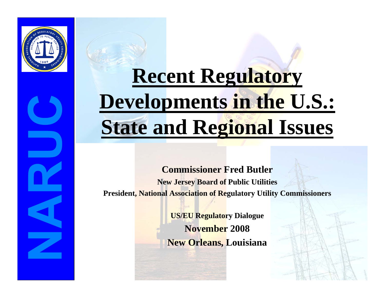

# **Recent Regulatory Developments in the U.S.: State and Regional Issues**

**Commissioner Fred ButlerNew Jersey Board of Public Utilities President, National Association of Regulatory Utility Commissioners**

> **US/EU Regulatory Dialogue November 2008New Orleans, Louisiana**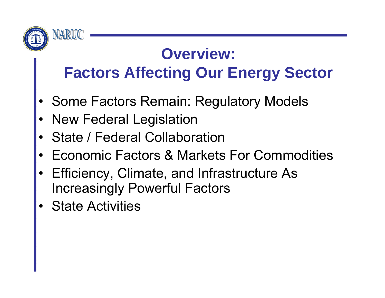

#### **Overview: Factors Affecting Our Energy Sector**

- •Some Factors Remain: Regulatory Models
- •New Federal Legislation
- •State / Federal Collaboration
- •Economic Factors & Markets For Commodities
- • Efficiency, Climate, and Infrastructure As Increasingly Powerful Factors
- •State Activities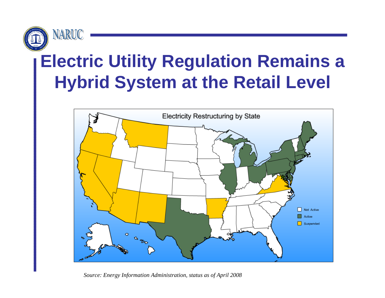

# **Electric Utility Regulation Remains a Hybrid System at the Retail Level**



*Source: Energy Information Administration, status as of April 2008*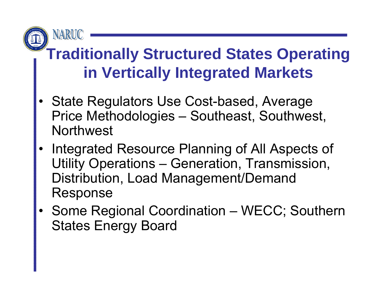

# **Traditionally Structured States Operating in Vertically Integrated Markets**

- • State Regulators Use Cost-based, Average Price Methodologies – Southeast, Southwest, **Northwest**
- Integrated Resource Planning of All Aspects of Utility Operations – Generation, Transmission, Distribution, Load Management/Demand Response
- Some Regional Coordination WECC; Southern States Energy Board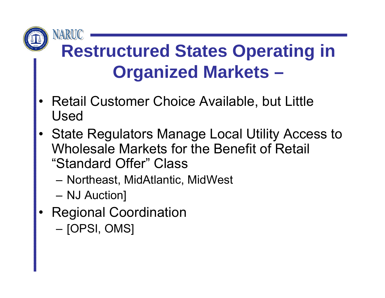

# **Restructured States Operating in Organized Markets –**

- • Retail Customer Choice Available, but Little Used
- • State Regulators Manage Local Utility Access to Wholesale Markets for the Benefit of Retail "Standard Offer" Class
	- –Northeast, MidAtlantic, MidWest
	- NJ Auction]
- • Regional Coordination
	- [OPSI, OMS]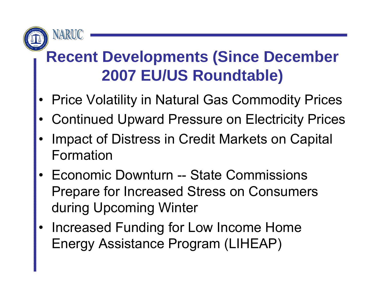

# **Recent Developments (Since December 2007 EU/US Roundtable)**

- •Price Volatility in Natural Gas Commodity Prices
- •Continued Upward Pressure on Electricity Prices
- • Impact of Distress in Credit Markets on Capital Formation
- Economic Downturn -- State Commissions Prepare for Increased Stress on Consumers during Upcoming Winter
- • Increased Funding for Low Income Home Energy Assistance Program (LIHEAP)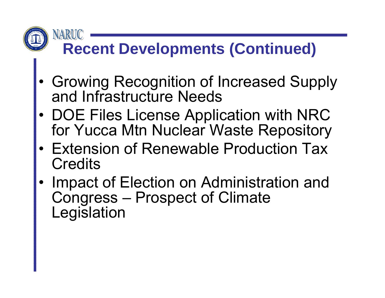# **Recent Developments (Continued)**

NARUC

- • Growing Recognition of Increased Supply and Infrastructure Needs
- • DOE Files License Application with NRC for Yucca Mtn Nuclear Waste Repository
- Extension of Renewable Production Tax **Credits**
- • Impact of Election on Administration and Congress – Prospect of Climate Legislation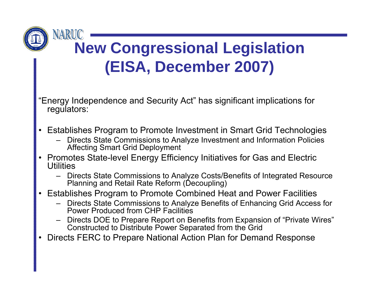

### **New Congressional Legislation (EISA, December 2007)**

"Energy Independence and Security Act" has significant implications for regulators:

- $\bullet$  Establishes Program to Promote Investment in Smart Grid Technologies
	- Directs State Commissions to Analyze Investment and Information Policies Affecting Smart Grid Deployment
- • Promotes State-level Energy Efficiency Initiatives for Gas and Electric **Utilities** 
	- Directs State Commissions to Analyze Costs/Benefits of Integrated Resource Planning and Retail Rate Reform (Decoupling)
- $\bullet$  Establishes Program to Promote Combined Heat and Power Facilities
	- Directs State Commissions to Analyze Benefits of Enhancing Grid Access for Power Produced from CHP Facilities
	- Directs DOE to Prepare Report on Benefits from Expansion of "Private Wires" Constructed to Distribute Power Separated from the Grid
- •Directs FERC to Prepare National Action Plan for Demand Response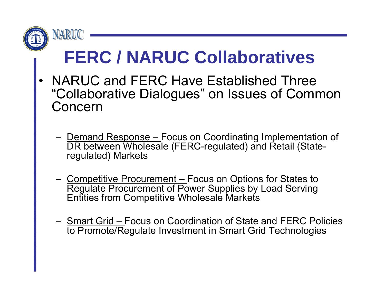

# **FERC / NARUC Collaboratives**

- • NARUC and FERC Have Established Three "Collaborative Dialogues" on Issues of Common Concern
	- Demand Response Focus on Coordinating Implementation of DR between Wholesale (FERC-regulated) and Retail (Stateregulated) Markets
	- Competitive Procurement Focus on Options for States to Regulate Procurement of Power Supplies by Load Serving Entities from Competitive Wholesale Markets
	- Smart Grid Focus on Coordination of State and FERC Policies to Promote/Regulate Investment in Smart Grid Technologies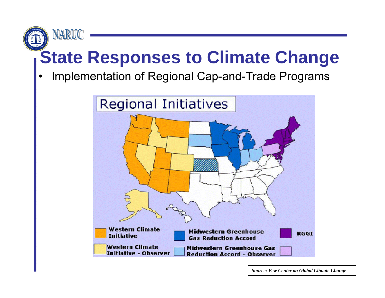

# **State Responses to Climate Change**

•Implementation of Regional Cap-and-Trade Programs



*Source: Pew Center on Global Climate Change*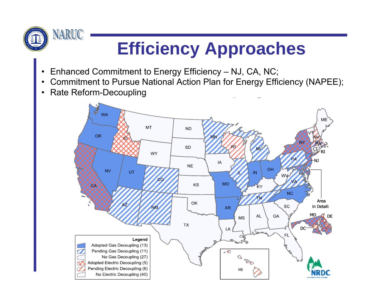

# **Efficiency Approaches**

- $\bullet$ Enhanced Commitment to Energy Efficiency – NJ, CA, NC;
- Commitment to Pursue National Action Plan for Energy Efficiency (NAPEE);
- $\bullet$ Rate Reform-Decoupling

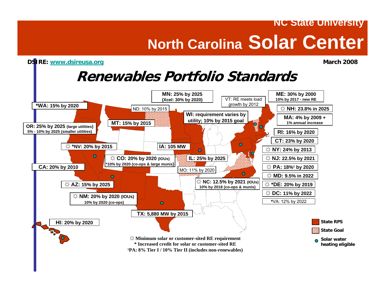#### **NC State University North Carolina Solar Center**

#### **DSIRE:** www.dsireusa.org **March 2008**

#### **Renewables Portfolio Standards**